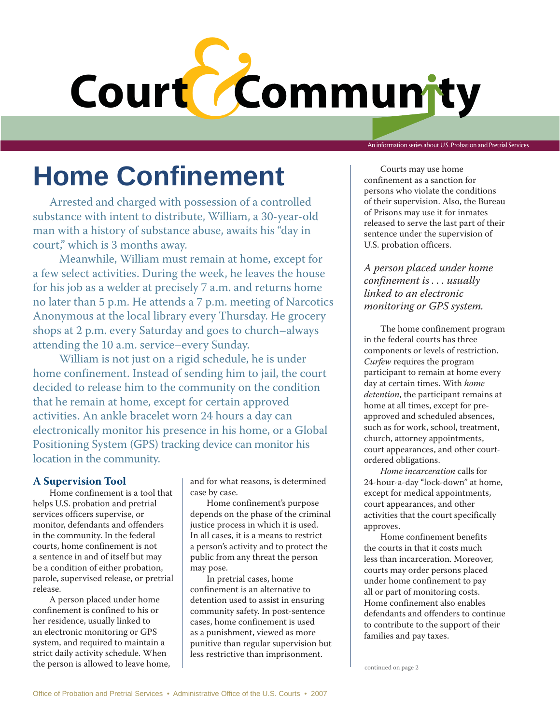# Court<sup>2</sup>

An information series about U.S. Probation and Pretrial Services

# **Home Confinement**

Arrested and charged with possession of a controlled substance with intent to distribute, William, a 30-year-old man with a history of substance abuse, awaits his "day in court," which is 3 months away.

Meanwhile, William must remain at home, except for a few select activities. During the week, he leaves the house for his job as a welder at precisely 7 a.m. and returns home no later than 5 p.m. He attends a 7 p.m. meeting of Narcotics Anonymous at the local library every Thursday. He grocery shops at 2 p.m. every Saturday and goes to church–always attending the 10 a.m. service–every Sunday.

William is not just on a rigid schedule, he is under home confinement. Instead of sending him to jail, the court decided to release him to the community on the condition that he remain at home, except for certain approved activities. An ankle bracelet worn 24 hours a day can electronically monitor his presence in his home, or a Global Positioning System (GPS) tracking device can monitor his location in the community.

## **A Supervision Tool**

Home confinement is a tool that helps U.S. probation and pretrial services officers supervise, or monitor, defendants and offenders in the community. In the federal courts, home confinement is not a sentence in and of itself but may be a condition of either probation, parole, supervised release, or pretrial release.

A person placed under home confinement is confined to his or her residence, usually linked to an electronic monitoring or GPS system, and required to maintain a strict daily activity schedule. When the person is allowed to leave home, and for what reasons, is determined case by case.

Home confinement's purpose depends on the phase of the criminal justice process in which it is used. In all cases, it is a means to restrict a person's activity and to protect the public from any threat the person may pose.

In pretrial cases, home confinement is an alternative to detention used to assist in ensuring community safety. In post-sentence cases, home confinement is used as a punishment, viewed as more punitive than regular supervision but less restrictive than imprisonment.

Courts may use home confinement as a sanction for persons who violate the conditions of their supervision. Also, the Bureau of Prisons may use it for inmates released to serve the last part of their sentence under the supervision of U.S. probation officers.

*A person placed under home confinement is . . . usually linked to an electronic monitoring or GPS system.*

The home confinement program in the federal courts has three components or levels of restriction. *Curfew* requires the program participant to remain at home every day at certain times. With *home detention*, the participant remains at home at all times, except for preapproved and scheduled absences, such as for work, school, treatment, church, attorney appointments, court appearances, and other courtordered obligations.

*Home incarceration* calls for 24-hour-a-day "lock-down" at home, except for medical appointments, court appearances, and other activities that the court specifically approves.

Home confinement benefits the courts in that it costs much less than incarceration. Moreover, courts may order persons placed under home confinement to pay all or part of monitoring costs. Home confinement also enables defendants and offenders to continue to contribute to the support of their families and pay taxes.

continued on page 2